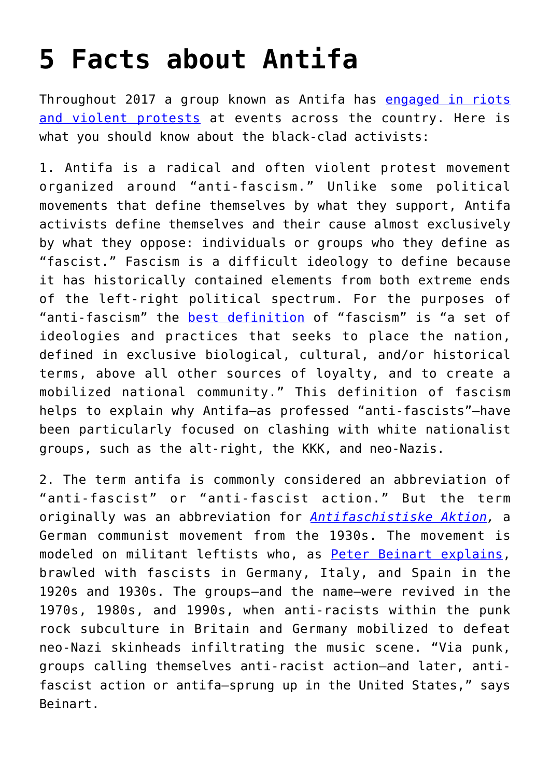## **[5 Facts about Antifa](https://intellectualtakeout.org/2017/09/5-facts-about-antifa/)**

Throughout 2017 a group known as Antifa has [engaged in riots](http://www.dailywire.com/news/20343/timeline-antifa-violence-january-%E2%80%93-august-2017-frank-camp#) [and violent protests](http://www.dailywire.com/news/20343/timeline-antifa-violence-january-%E2%80%93-august-2017-frank-camp#) at events across the country. Here is what you should know about the black-clad activists:

1. Antifa is a radical and often violent protest movement organized around "anti-fascism." Unlike some political movements that define themselves by what they support, Antifa activists define themselves and their cause almost exclusively by what they oppose: individuals or groups who they define as "fascist." Fascism is a difficult ideology to define because it has historically contained elements from both extreme ends of the left-right political spectrum. For the purposes of "anti-fascism" the **[best definition](http://a-fwd.com/asin-com=0199685363&sc=w)** of "fascism" is "a set of ideologies and practices that seeks to place the nation, defined in exclusive biological, cultural, and/or historical terms, above all other sources of loyalty, and to create a mobilized national community." This definition of fascism helps to explain why Antifa—as professed "anti-fascists"—have been particularly focused on clashing with white nationalist groups, such as the alt-right, the KKK, and neo-Nazis.

2. The term antifa is commonly considered an abbreviation of "anti-fascist" or "anti-fascist action." But the term originally was an abbreviation for *[Antifaschistiske Aktion](https://www.jacobinmag.com/2017/05/antifascist-movements-hitler-nazis-kpd-spd-germany-cold-war),* a German communist movement from the 1930s. The movement is modeled on militant leftists who, as [Peter Beinart explains,](https://www.theatlantic.com/politics/archive/2017/08/what-trump-gets-wrong-about-antifa/537048/?utm_source=feed) brawled with fascists in Germany, Italy, and Spain in the 1920s and 1930s. The groups—and the name—were revived in the 1970s, 1980s, and 1990s, when anti-racists within the punk rock subculture in Britain and Germany mobilized to defeat neo-Nazi skinheads infiltrating the music scene. "Via punk, groups calling themselves anti-racist action—and later, antifascist action or antifa—sprung up in the United States," says Beinart.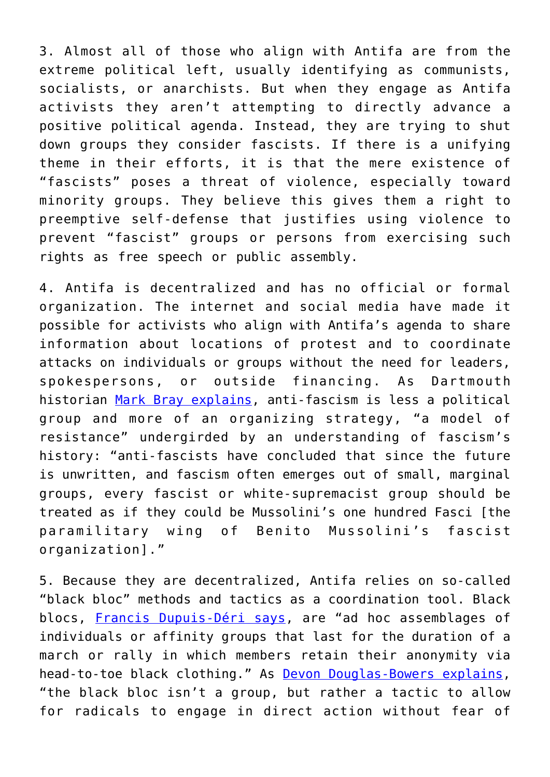3. Almost all of those who align with Antifa are from the extreme political left, usually identifying as communists, socialists, or anarchists. But when they engage as Antifa activists they aren't attempting to directly advance a positive political agenda. Instead, they are trying to shut down groups they consider fascists. If there is a unifying theme in their efforts, it is that the mere existence of "fascists" poses a threat of violence, especially toward minority groups. They believe this gives them a right to preemptive self-defense that justifies using violence to prevent "fascist" groups or persons from exercising such rights as free speech or public assembly.

4. Antifa is decentralized and has no official or formal organization. The internet and social media have made it possible for activists who align with Antifa's agenda to share information about locations of protest and to coordinate attacks on individuals or groups without the need for leaders, spokespersons, or outside financing. As Dartmouth historian [Mark Bray explains,](https://timeline.com/antifa-history-violence-nazis-5ccb6231879a) anti-fascism is less a political group and more of an organizing strategy, "a model of resistance" undergirded by an understanding of fascism's history: "anti-fascists have concluded that since the future is unwritten, and fascism often emerges out of small, marginal groups, every fascist or white-supremacist group should be treated as if they could be Mussolini's one hundred Fasci [the paramilitary wing of Benito Mussolini's fascist organization]."

5. Because they are decentralized, Antifa relies on so-called "black bloc" methods and tactics as a coordination tool. Black blocs, [Francis Dupuis-Déri says](http://a-fwd.com/asin-com=1604869496&sc=w), are "ad hoc assemblages of individuals or affinity groups that last for the duration of a march or rally in which members retain their anonymity via head-to-toe black clothing." As **Devon Douglas-Bowers explains**, "the black bloc isn't a group, but rather a tactic to allow for radicals to engage in direct action without fear of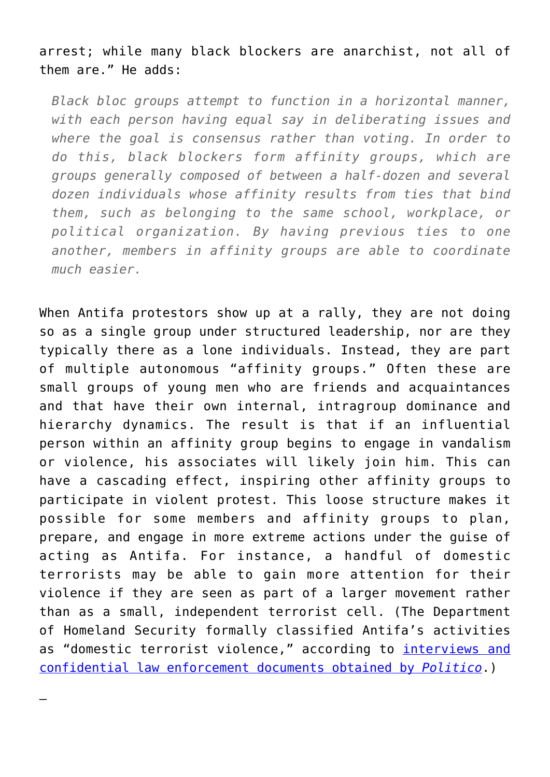arrest; while many black blockers are anarchist, not all of them are." He adds:

*Black bloc groups attempt to function in a horizontal manner, with each person having equal say in deliberating issues and where the goal is consensus rather than voting. In order to do this, black blockers form affinity groups, which are groups generally composed of between a half-dozen and several dozen individuals whose affinity results from ties that bind them, such as belonging to the same school, workplace, or political organization. By having previous ties to one another, members in affinity groups are able to coordinate much easier.*

When Antifa protestors show up at a rally, they are not doing so as a single group under structured leadership, nor are they typically there as a lone individuals. Instead, they are part of multiple autonomous "affinity groups." Often these are small groups of young men who are friends and acquaintances and that have their own internal, intragroup dominance and hierarchy dynamics. The result is that if an influential person within an affinity group begins to engage in vandalism or violence, his associates will likely join him. This can have a cascading effect, inspiring other affinity groups to participate in violent protest. This loose structure makes it possible for some members and affinity groups to plan, prepare, and engage in more extreme actions under the guise of acting as Antifa. For instance, a handful of domestic terrorists may be able to gain more attention for their violence if they are seen as part of a larger movement rather than as a small, independent terrorist cell. (The Department of Homeland Security formally classified Antifa's activities as "domestic terrorist violence," according to *interviews and* [confidential law enforcement documents obtained by](http://www.politico.com/story/2017/09/01/antifa-charlottesville-violence-fbi-242235) *[Politico](http://www.politico.com/story/2017/09/01/antifa-charlottesville-violence-fbi-242235)*.)

–